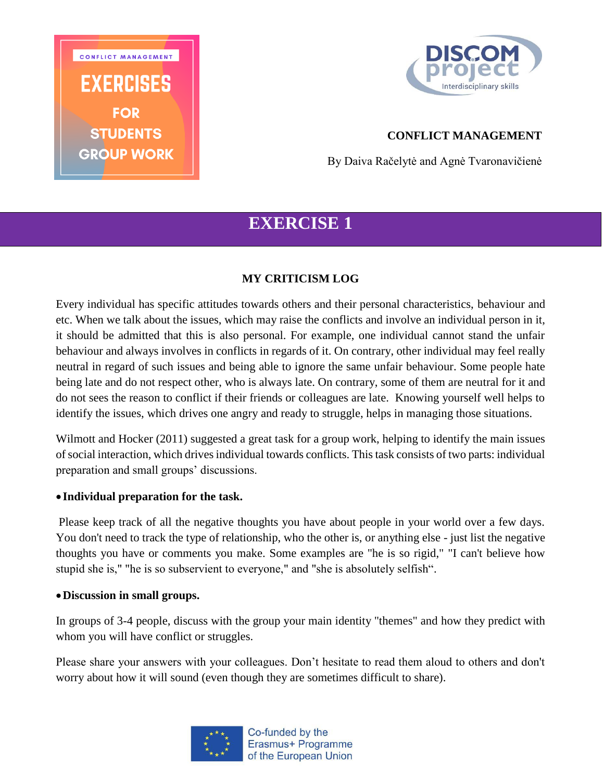



# **CONFLICT MANAGEMENT**

By Daiva Račelytė and Agnė Tvaronavičienė

# **EXERCISE 1**

## **MY CRITICISM LOG**

Every individual has specific attitudes towards others and their personal characteristics, behaviour and etc. When we talk about the issues, which may raise the conflicts and involve an individual person in it, it should be admitted that this is also personal. For example, one individual cannot stand the unfair behaviour and always involves in conflicts in regards of it. On contrary, other individual may feel really neutral in regard of such issues and being able to ignore the same unfair behaviour. Some people hate being late and do not respect other, who is always late. On contrary, some of them are neutral for it and do not sees the reason to conflict if their friends or colleagues are late. Knowing yourself well helps to identify the issues, which drives one angry and ready to struggle, helps in managing those situations.

Wilmott and Hocker (2011) suggested a great task for a group work, helping to identify the main issues of social interaction, which drives individual towards conflicts. This task consists of two parts: individual preparation and small groups' discussions.

#### **Individual preparation for the task.**

Please keep track of all the negative thoughts you have about people in your world over a few days. You don't need to track the type of relationship, who the other is, or anything else - just list the negative thoughts you have or comments you make. Some examples are "he is so rigid," "I can't believe how stupid she is," "he is so subservient to everyone," and "she is absolutely selfish".

#### **Discussion in small groups.**

In groups of 3-4 people, discuss with the group your main identity "themes" and how they predict with whom you will have conflict or struggles.

Please share your answers with your colleagues. Don't hesitate to read them aloud to others and don't worry about how it will sound (even though they are sometimes difficult to share).

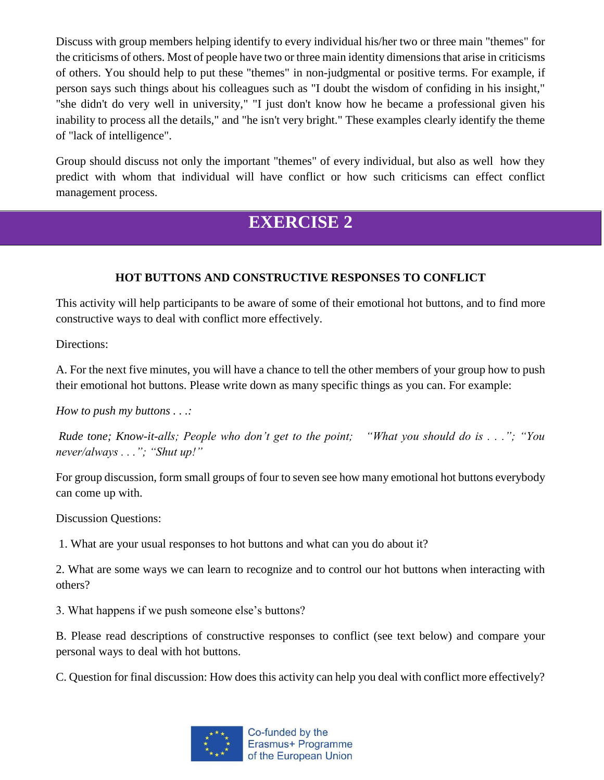Discuss with group members helping identify to every individual his/her two or three main "themes" for the criticisms of others. Most of people have two or three main identity dimensions that arise in criticisms of others. You should help to put these "themes" in non-judgmental or positive terms. For example, if person says such things about his colleagues such as "I doubt the wisdom of confiding in his insight," "she didn't do very well in university," "I just don't know how he became a professional given his inability to process all the details," and "he isn't very bright." These examples clearly identify the theme of "lack of intelligence".

Group should discuss not only the important "themes" of every individual, but also as well how they predict with whom that individual will have conflict or how such criticisms can effect conflict management process.

# **EXERCISE 2**

# **HOT BUTTONS AND CONSTRUCTIVE RESPONSES TO CONFLICT**

This activity will help participants to be aware of some of their emotional hot buttons, and to find more constructive ways to deal with conflict more effectively.

Directions:

A. For the next five minutes, you will have a chance to tell the other members of your group how to push their emotional hot buttons. Please write down as many specific things as you can. For example:

*How to push my buttons . . .:* 

*Rude tone; Know-it-alls; People who don't get to the point; "What you should do is . . ."; "You never/always . . ."; "Shut up!"* 

For group discussion, form small groups of four to seven see how many emotional hot buttons everybody can come up with.

Discussion Questions:

1. What are your usual responses to hot buttons and what can you do about it?

2. What are some ways we can learn to recognize and to control our hot buttons when interacting with others?

3. What happens if we push someone else's buttons?

B. Please read descriptions of constructive responses to conflict (see text below) and compare your personal ways to deal with hot buttons.

C. Question for final discussion: How does this activity can help you deal with conflict more effectively?

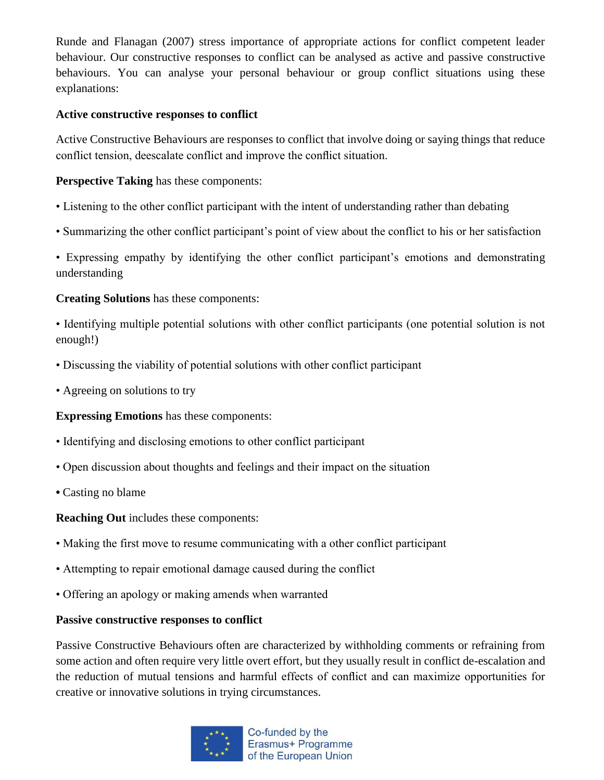Runde and Flanagan (2007) stress importance of appropriate actions for conflict competent leader behaviour. Our constructive responses to conflict can be analysed as active and passive constructive behaviours. You can analyse your personal behaviour or group conflict situations using these explanations:

### **Active constructive responses to conflict**

Active Constructive Behaviours are responses to conflict that involve doing or saying things that reduce conflict tension, deescalate conflict and improve the conflict situation.

## **Perspective Taking** has these components:

- Listening to the other conflict participant with the intent of understanding rather than debating
- Summarizing the other conflict participant's point of view about the conflict to his or her satisfaction

• Expressing empathy by identifying the other conflict participant's emotions and demonstrating understanding

## **Creating Solutions** has these components:

• Identifying multiple potential solutions with other conflict participants (one potential solution is not enough!)

- Discussing the viability of potential solutions with other conflict participant
- Agreeing on solutions to try

## **Expressing Emotions** has these components:

- Identifying and disclosing emotions to other conflict participant
- Open discussion about thoughts and feelings and their impact on the situation
- Casting no blame

**Reaching Out** includes these components:

- Making the first move to resume communicating with a other conflict participant
- Attempting to repair emotional damage caused during the conflict
- Offering an apology or making amends when warranted

## **Passive constructive responses to conflict**

Passive Constructive Behaviours often are characterized by withholding comments or refraining from some action and often require very little overt effort, but they usually result in conflict de-escalation and the reduction of mutual tensions and harmful effects of conflict and can maximize opportunities for creative or innovative solutions in trying circumstances.

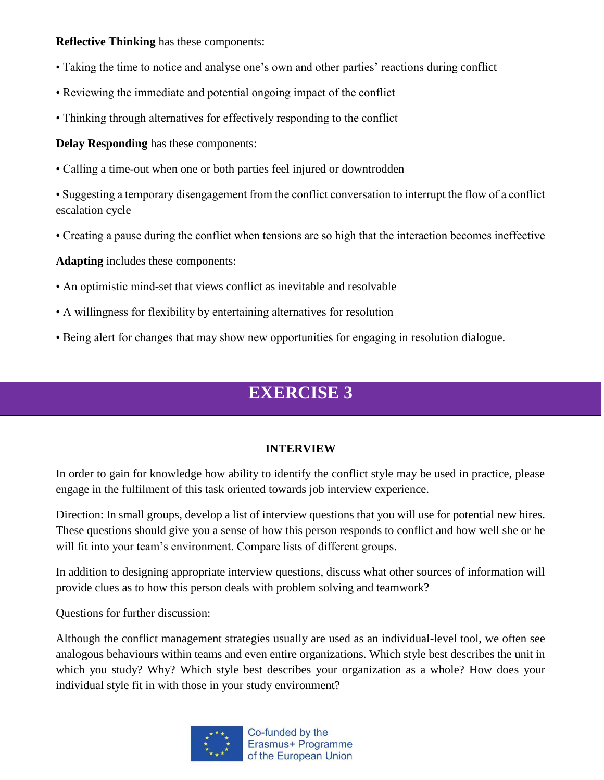### **Reflective Thinking** has these components:

- Taking the time to notice and analyse one's own and other parties' reactions during conflict
- Reviewing the immediate and potential ongoing impact of the conflict
- Thinking through alternatives for effectively responding to the conflict

**Delay Responding** has these components:

• Calling a time-out when one or both parties feel injured or downtrodden

• Suggesting a temporary disengagement from the conflict conversation to interrupt the flow of a conflict escalation cycle

• Creating a pause during the conflict when tensions are so high that the interaction becomes ineffective

**Adapting** includes these components:

- An optimistic mind-set that views conflict as inevitable and resolvable
- A willingness for flexibility by entertaining alternatives for resolution
- Being alert for changes that may show new opportunities for engaging in resolution dialogue.

# **EXERCISE 3**

## **INTERVIEW**

In order to gain for knowledge how ability to identify the conflict style may be used in practice, please engage in the fulfilment of this task oriented towards job interview experience.

Direction: In small groups, develop a list of interview questions that you will use for potential new hires. These questions should give you a sense of how this person responds to conflict and how well she or he will fit into your team's environment. Compare lists of different groups.

In addition to designing appropriate interview questions, discuss what other sources of information will provide clues as to how this person deals with problem solving and teamwork?

Questions for further discussion:

Although the conflict management strategies usually are used as an individual-level tool, we often see analogous behaviours within teams and even entire organizations. Which style best describes the unit in which you study? Why? Which style best describes your organization as a whole? How does your individual style fit in with those in your study environment?

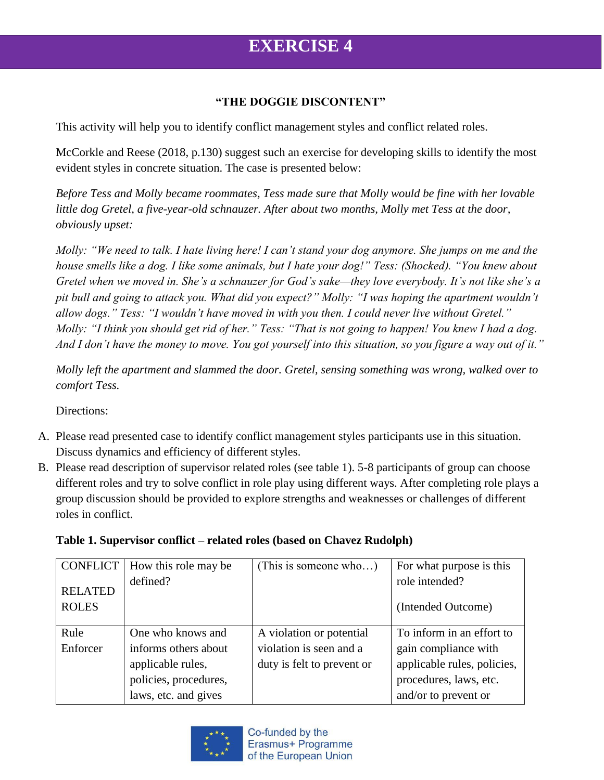# **EXERCISE 4**

### **"THE DOGGIE DISCONTENT"**

This activity will help you to identify conflict management styles and conflict related roles.

McCorkle and Reese (2018, p.130) suggest such an exercise for developing skills to identify the most evident styles in concrete situation. The case is presented below:

*Before Tess and Molly became roommates, Tess made sure that Molly would be fine with her lovable little dog Gretel, a five-year-old schnauzer. After about two months, Molly met Tess at the door, obviously upset:*

*Molly: "We need to talk. I hate living here! I can't stand your dog anymore. She jumps on me and the house smells like a dog. I like some animals, but I hate your dog!" Tess: (Shocked). "You knew about Gretel when we moved in. She's a schnauzer for God's sake—they love everybody. It's not like she's a pit bull and going to attack you. What did you expect?" Molly: "I was hoping the apartment wouldn't allow dogs." Tess: "I wouldn't have moved in with you then. I could never live without Gretel." Molly: "I think you should get rid of her." Tess: "That is not going to happen! You knew I had a dog. And I don't have the money to move. You got yourself into this situation, so you figure a way out of it."*

*Molly left the apartment and slammed the door. Gretel, sensing something was wrong, walked over to comfort Tess.*

Directions:

- A. Please read presented case to identify conflict management styles participants use in this situation. Discuss dynamics and efficiency of different styles.
- B. Please read description of supervisor related roles (see table 1). 5-8 participants of group can choose different roles and try to solve conflict in role play using different ways. After completing role plays a group discussion should be provided to explore strengths and weaknesses or challenges of different roles in conflict.

| Table 1. Supervisor conflict – related roles (based on Chavez Rudolph) |  |
|------------------------------------------------------------------------|--|
|                                                                        |  |

| <b>CONFLICT</b>                | How this role may be  | (This is someone who)      | For what purpose is this             |
|--------------------------------|-----------------------|----------------------------|--------------------------------------|
| <b>RELATED</b><br><b>ROLES</b> | defined?              |                            | role intended?<br>(Intended Outcome) |
| Rule                           | One who knows and     | A violation or potential   | To inform in an effort to            |
| Enforcer                       | informs others about  | violation is seen and a    | gain compliance with                 |
|                                | applicable rules,     | duty is felt to prevent or | applicable rules, policies,          |
|                                | policies, procedures, |                            | procedures, laws, etc.               |
|                                | laws, etc. and gives  |                            | and/or to prevent or                 |

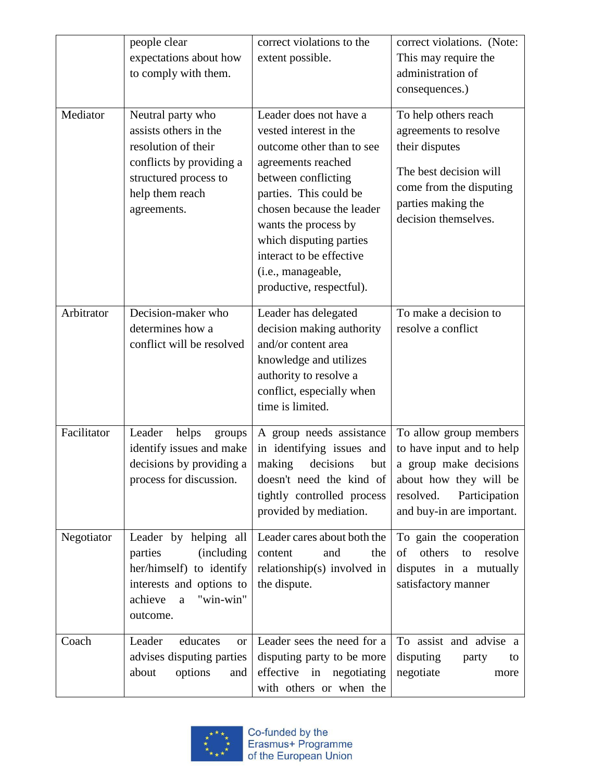|             | people clear<br>expectations about how<br>to comply with them.                                                                                                     | correct violations to the<br>extent possible.                                                                                                                                                                                                                                                                      | correct violations. (Note:<br>This may require the<br>administration of<br>consequences.)                                                                          |
|-------------|--------------------------------------------------------------------------------------------------------------------------------------------------------------------|--------------------------------------------------------------------------------------------------------------------------------------------------------------------------------------------------------------------------------------------------------------------------------------------------------------------|--------------------------------------------------------------------------------------------------------------------------------------------------------------------|
| Mediator    | Neutral party who<br>assists others in the<br>resolution of their<br>conflicts by providing a<br>structured process to<br>help them reach<br>agreements.           | Leader does not have a<br>vested interest in the<br>outcome other than to see<br>agreements reached<br>between conflicting<br>parties. This could be<br>chosen because the leader<br>wants the process by<br>which disputing parties<br>interact to be effective<br>(i.e., manageable,<br>productive, respectful). | To help others reach<br>agreements to resolve<br>their disputes<br>The best decision will<br>come from the disputing<br>parties making the<br>decision themselves. |
| Arbitrator  | Decision-maker who<br>determines how a<br>conflict will be resolved                                                                                                | Leader has delegated<br>decision making authority<br>and/or content area<br>knowledge and utilizes<br>authority to resolve a<br>conflict, especially when<br>time is limited.                                                                                                                                      | To make a decision to<br>resolve a conflict                                                                                                                        |
| Facilitator | Leader<br>helps<br>groups<br>identify issues and make<br>decisions by providing a<br>process for discussion.                                                       | A group needs assistance<br>in identifying issues and<br>making<br>decisions<br>but<br>doesn't need the kind of<br>tightly controlled process<br>provided by mediation.                                                                                                                                            | To allow group members<br>to have input and to help<br>a group make decisions<br>about how they will be<br>resolved.<br>Participation<br>and buy-in are important. |
| Negotiator  | Leader by helping all<br><i>(including)</i><br>parties<br>her/himself) to identify<br>interests and options to<br>achieve<br>"win-win"<br>$\mathbf{a}$<br>outcome. | Leader cares about both the<br>content<br>and<br>the<br>relationship(s) involved in<br>the dispute.                                                                                                                                                                                                                | To gain the cooperation<br>others<br>resolve<br>of<br>to<br>disputes in a mutually<br>satisfactory manner                                                          |
| Coach       | Leader<br>educates<br><b>or</b><br>advises disputing parties<br>about<br>options<br>and                                                                            | Leader sees the need for a<br>disputing party to be more<br>effective in negotiating<br>with others or when the                                                                                                                                                                                                    | To assist and advise a<br>disputing<br>party<br>to<br>negotiate<br>more                                                                                            |

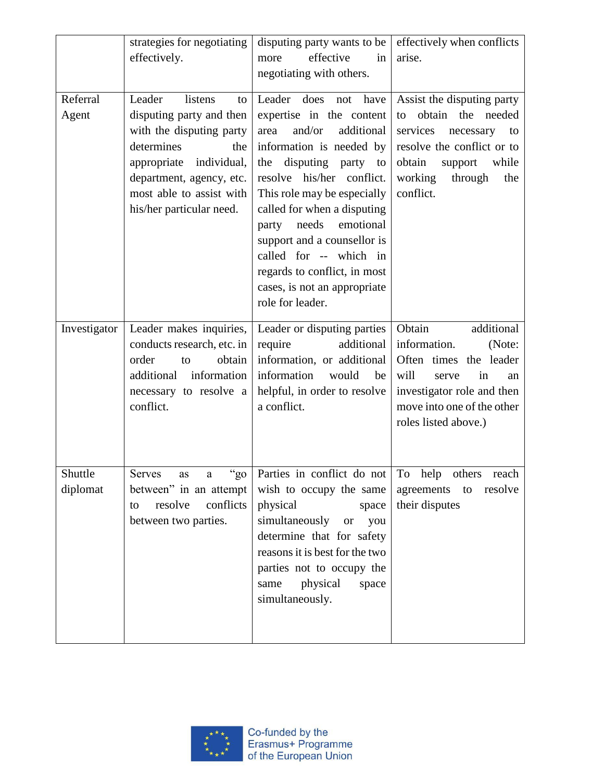|                     | strategies for negotiating<br>effectively.                                                                                                                                                                          | disputing party wants to be<br>effective<br>more<br>in<br>negotiating with others.                                                                                                                                                                                                                                                                                                                                        | effectively when conflicts<br>arise.                                                                                                                                                         |
|---------------------|---------------------------------------------------------------------------------------------------------------------------------------------------------------------------------------------------------------------|---------------------------------------------------------------------------------------------------------------------------------------------------------------------------------------------------------------------------------------------------------------------------------------------------------------------------------------------------------------------------------------------------------------------------|----------------------------------------------------------------------------------------------------------------------------------------------------------------------------------------------|
| Referral<br>Agent   | Leader<br>listens<br>to<br>disputing party and then<br>with the disputing party<br>determines<br>the<br>appropriate individual,<br>department, agency, etc.<br>most able to assist with<br>his/her particular need. | Leader<br>does<br>have<br>not<br>expertise in the content<br>and/or<br>additional<br>area<br>information is needed by<br>disputing party to<br>the<br>resolve his/her conflict.<br>This role may be especially<br>called for when a disputing<br>emotional<br>needs<br>party<br>support and a counsellor is<br>called for -- which in<br>regards to conflict, in most<br>cases, is not an appropriate<br>role for leader. | Assist the disputing party<br>obtain the needed<br>to<br>services<br>necessary<br>to<br>resolve the conflict or to<br>obtain<br>while<br>support<br>working<br>through<br>the<br>conflict.   |
| Investigator        | Leader makes inquiries,<br>conducts research, etc. in<br>order<br>obtain<br>to<br>additional<br>information<br>necessary to resolve a<br>conflict.                                                                  | Leader or disputing parties<br>additional<br>require<br>information, or additional<br>information<br>would<br>be<br>helpful, in order to resolve<br>a conflict.                                                                                                                                                                                                                                                           | Obtain<br>additional<br>information.<br>(Note:<br>Often times<br>the leader<br>will<br>in<br>serve<br>an<br>investigator role and then<br>move into one of the other<br>roles listed above.) |
| Shuttle<br>diplomat | "g0"<br>Serves<br>as a<br>between" in an attempt<br>conflicts<br>resolve<br>to<br>between two parties.                                                                                                              | Parties in conflict do not   To help others reach<br>wish to occupy the same<br>physical<br>space<br>simultaneously or<br>you<br>determine that for safety<br>reasons it is best for the two<br>parties not to occupy the<br>physical<br>space<br>same<br>simultaneously.                                                                                                                                                 | agreements<br>resolve<br>to<br>their disputes                                                                                                                                                |